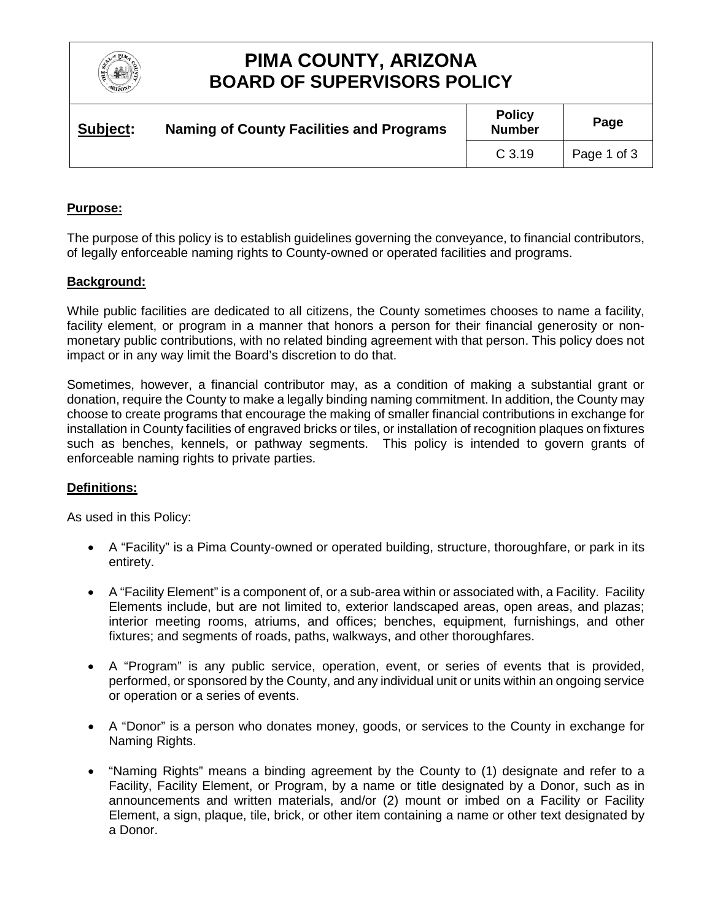

## **PIMA COUNTY, ARIZONA BOARD OF SUPERVISORS POLICY**

| Subject: | <b>Naming of County Facilities and Programs</b> | <b>Policy</b><br><b>Number</b> | Page        |
|----------|-------------------------------------------------|--------------------------------|-------------|
|          |                                                 | C <sub>3.19</sub>              | Page 1 of 3 |

### **Purpose:**

The purpose of this policy is to establish guidelines governing the conveyance, to financial contributors, of legally enforceable naming rights to County-owned or operated facilities and programs.

#### **Background:**

While public facilities are dedicated to all citizens, the County sometimes chooses to name a facility, facility element, or program in a manner that honors a person for their financial generosity or nonmonetary public contributions, with no related binding agreement with that person. This policy does not impact or in any way limit the Board's discretion to do that.

Sometimes, however, a financial contributor may, as a condition of making a substantial grant or donation, require the County to make a legally binding naming commitment. In addition, the County may choose to create programs that encourage the making of smaller financial contributions in exchange for installation in County facilities of engraved bricks or tiles, or installation of recognition plaques on fixtures such as benches, kennels, or pathway segments. This policy is intended to govern grants of enforceable naming rights to private parties.

#### **Definitions:**

As used in this Policy:

- A "Facility" is a Pima County-owned or operated building, structure, thoroughfare, or park in its entirety.
- A "Facility Element" is a component of, or a sub-area within or associated with, a Facility. Facility Elements include, but are not limited to, exterior landscaped areas, open areas, and plazas; interior meeting rooms, atriums, and offices; benches, equipment, furnishings, and other fixtures; and segments of roads, paths, walkways, and other thoroughfares.
- A "Program" is any public service, operation, event, or series of events that is provided, performed, or sponsored by the County, and any individual unit or units within an ongoing service or operation or a series of events.
- A "Donor" is a person who donates money, goods, or services to the County in exchange for Naming Rights.
- "Naming Rights" means a binding agreement by the County to (1) designate and refer to a Facility, Facility Element, or Program, by a name or title designated by a Donor, such as in announcements and written materials, and/or (2) mount or imbed on a Facility or Facility Element, a sign, plaque, tile, brick, or other item containing a name or other text designated by a Donor.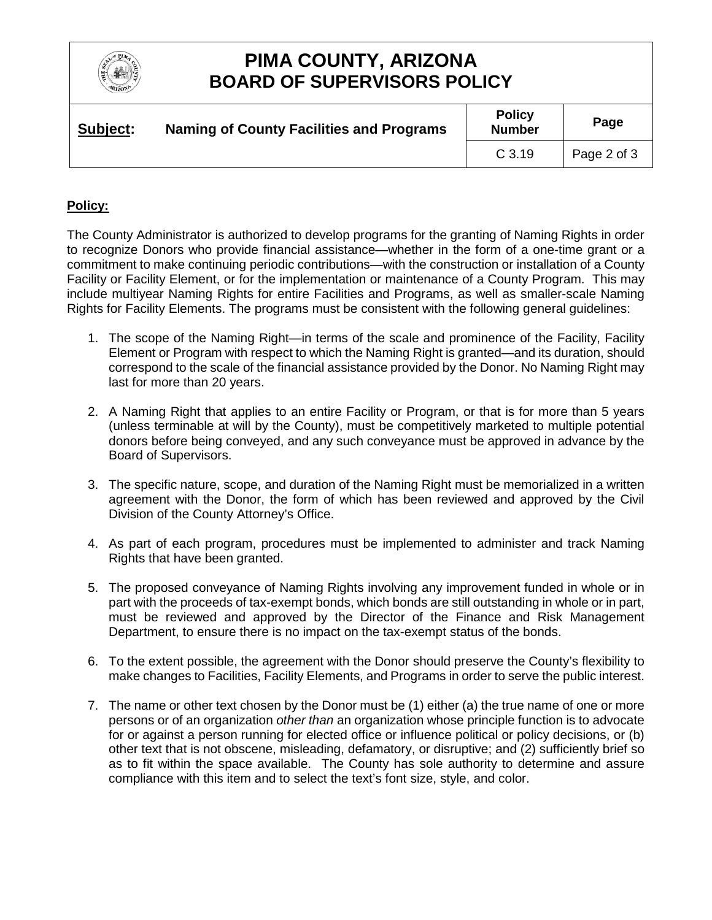

# **PIMA COUNTY, ARIZONA BOARD OF SUPERVISORS POLICY**

| Subject: | <b>Naming of County Facilities and Programs</b> | <b>Policy</b><br><b>Number</b> | Page        |
|----------|-------------------------------------------------|--------------------------------|-------------|
|          |                                                 | C <sub>3.19</sub>              | Page 2 of 3 |

### **Policy:**

The County Administrator is authorized to develop programs for the granting of Naming Rights in order to recognize Donors who provide financial assistance—whether in the form of a one-time grant or a commitment to make continuing periodic contributions—with the construction or installation of a County Facility or Facility Element, or for the implementation or maintenance of a County Program. This may include multiyear Naming Rights for entire Facilities and Programs, as well as smaller-scale Naming Rights for Facility Elements. The programs must be consistent with the following general guidelines:

- 1. The scope of the Naming Right—in terms of the scale and prominence of the Facility, Facility Element or Program with respect to which the Naming Right is granted—and its duration, should correspond to the scale of the financial assistance provided by the Donor. No Naming Right may last for more than 20 years.
- 2. A Naming Right that applies to an entire Facility or Program, or that is for more than 5 years (unless terminable at will by the County), must be competitively marketed to multiple potential donors before being conveyed, and any such conveyance must be approved in advance by the Board of Supervisors.
- 3. The specific nature, scope, and duration of the Naming Right must be memorialized in a written agreement with the Donor, the form of which has been reviewed and approved by the Civil Division of the County Attorney's Office.
- 4. As part of each program, procedures must be implemented to administer and track Naming Rights that have been granted.
- 5. The proposed conveyance of Naming Rights involving any improvement funded in whole or in part with the proceeds of tax-exempt bonds, which bonds are still outstanding in whole or in part, must be reviewed and approved by the Director of the Finance and Risk Management Department, to ensure there is no impact on the tax-exempt status of the bonds.
- 6. To the extent possible, the agreement with the Donor should preserve the County's flexibility to make changes to Facilities, Facility Elements, and Programs in order to serve the public interest.
- 7. The name or other text chosen by the Donor must be (1) either (a) the true name of one or more persons or of an organization *other than* an organization whose principle function is to advocate for or against a person running for elected office or influence political or policy decisions, or (b) other text that is not obscene, misleading, defamatory, or disruptive; and (2) sufficiently brief so as to fit within the space available. The County has sole authority to determine and assure compliance with this item and to select the text's font size, style, and color.